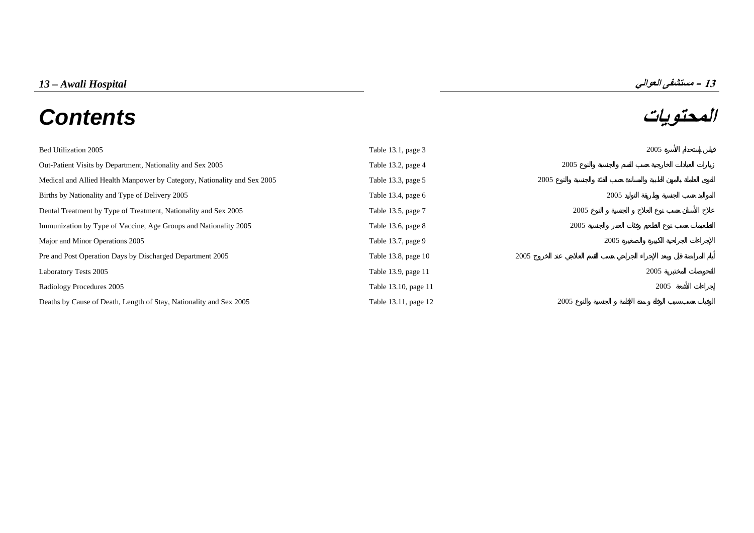# **المحتويات** *Contents*



| Bed Utilization 2005                                                     | Table 13.1, page 3   |      |      | 2005 |
|--------------------------------------------------------------------------|----------------------|------|------|------|
| Out-Patient Visits by Department, Nationality and Sex 2005               | Table 13.2, page 4   | 2005 |      |      |
| Medical and Allied Health Manpower by Category, Nationality and Sex 2005 | Table 13.3, page 5   | 2005 |      |      |
| Births by Nationality and Type of Delivery 2005                          | Table 13.4, page $6$ |      | 2005 |      |
| Dental Treatment by Type of Treatment, Nationality and Sex 2005          | Table 13.5, page 7   | 2005 |      |      |
| Immunization by Type of Vaccine, Age Groups and Nationality 2005         | Table 13.6, page 8   | 2005 |      |      |
| Major and Minor Operations 2005                                          | Table 13.7, page 9   |      | 2005 |      |
| Pre and Post Operation Days by Discharged Department 2005                | Table 13.8, page 10  | 2005 |      |      |
| Laboratory Tests 2005                                                    | Table 13.9, page 11  |      |      | 2005 |
| Radiology Procedures 2005                                                | Table 13.10, page 11 |      |      | 2005 |
| Deaths by Cause of Death, Length of Stay, Nationality and Sex 2005       | Table 13.11, page 12 | 2005 |      |      |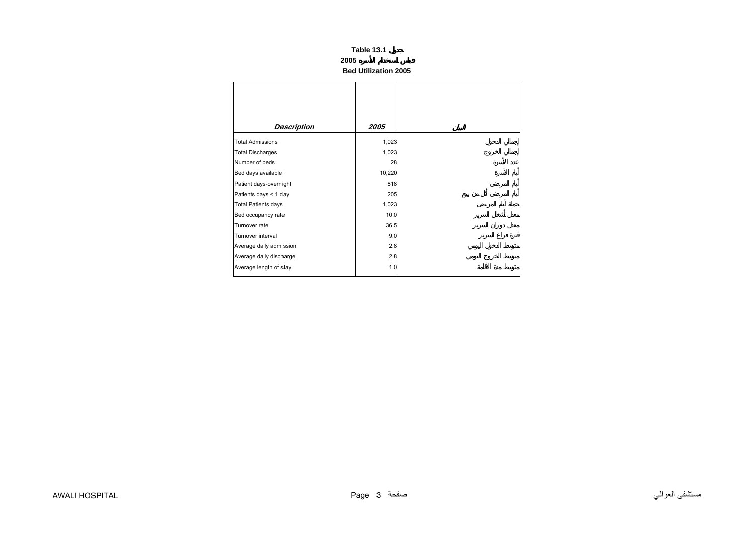## **2005**

**Bed Utilization 2005**

<span id="page-1-0"></span>

| Description                | 2005   |
|----------------------------|--------|
| <b>Total Admissions</b>    | 1,023  |
| <b>Total Discharges</b>    | 1,023  |
| Number of beds             | 28     |
| Bed days available         | 10,220 |
| Patient days-overnight     | 818    |
| Patients days < 1 day      | 205    |
| <b>Total Patients days</b> | 1,023  |
| Bed occupancy rate         | 10.0   |
| Turnover rate              | 36.5   |
| Turnover interval          | 9.0    |
| Average daily admission    | 2.8    |
| Average daily discharge    | 2.8    |
| Average length of stay     | 1.0    |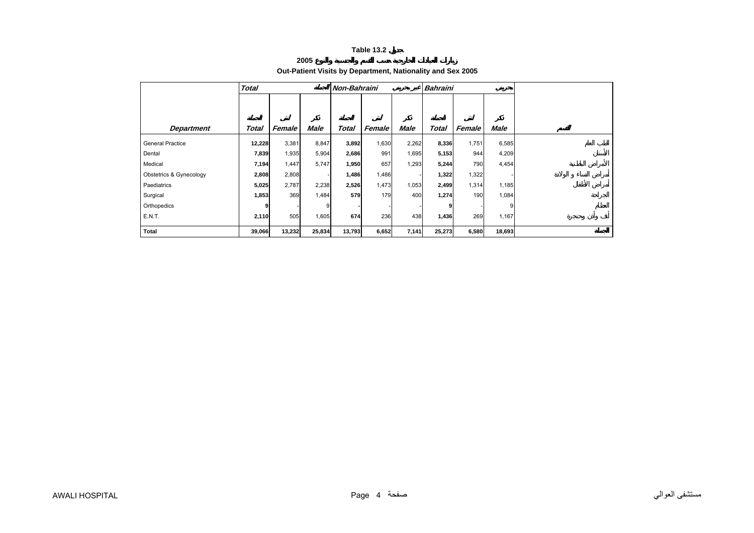# **2005**

<span id="page-2-0"></span>

|                         | <b>Total</b> |        |             | Non-Bahraini |        |             | <b>Bahraini</b> |        |             |  |
|-------------------------|--------------|--------|-------------|--------------|--------|-------------|-----------------|--------|-------------|--|
|                         |              |        |             |              |        |             |                 |        |             |  |
|                         |              |        |             |              |        |             |                 |        |             |  |
| <b>Department</b>       | Total        | Female | <b>Male</b> | Total        | Female | <b>Male</b> | <b>Total</b>    | Female | <b>Male</b> |  |
| <b>General Practice</b> | 12,228       | 3,381  | 8,847       | 3,892        | 1,630  | 2,262       | 8,336           | 1,751  | 6,585       |  |
| Dental                  | 7,839        | 1,935  | 5,904       | 2,686        | 991    | 1,695       | 5,153           | 944    | 4,209       |  |
| Medical                 | 7,194        | 1,447  | 5,747       | 1,950        | 657    | 1,293       | 5,244           | 790    | 4,454       |  |
| Obstetrics & Gynecology | 2,808        | 2,808  |             | 1,486        | 1,486  |             | 1,322           | 1,322  |             |  |
| Paediatrics             | 5,025        | 2,787  | 2,238       | 2,526        | 1,473  | 1,053       | 2,499           | 1,314  | 1,185       |  |
| Surgical                | 1,853        | 369    | 1,484       | 579          | 179    | 400         | 1,274           | 190    | 1,084       |  |
| Orthopedics             | 9            |        | 9           |              |        |             | 9               |        | 9           |  |
| E.N.T.                  | 2,110        | 505    | 1,605       | 674          | 236    | 438         | 1,436           | 269    | 1,167       |  |
| Total                   | 39,066       | 13,232 | 25,834      | 13,793       | 6,652  | 7,141       | 25,273          | 6,580  | 18,693      |  |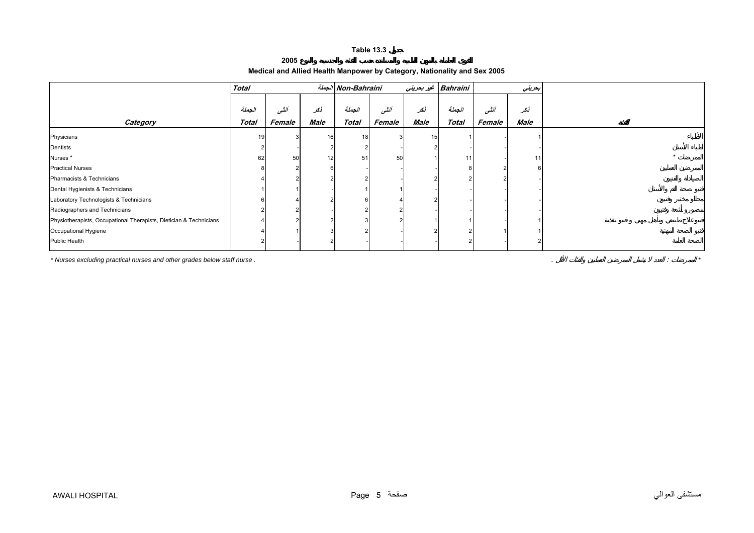# **2005**

# **Medical and Allied Health Manpower by Category, Nationality and Sex 2005**

<span id="page-3-0"></span>

|                                                                    | <b>Total</b> |        |      | الجملة Non-Bahraini |        | غير بحريني | <b>Bahraini</b> | بحريني |      |
|--------------------------------------------------------------------|--------------|--------|------|---------------------|--------|------------|-----------------|--------|------|
|                                                                    |              |        |      |                     |        |            |                 |        |      |
|                                                                    | الجملة       | انشى   | نكر  | الجملة              | أننسى  | نكر        | الجملة          | أنشى   | نكر  |
| Category                                                           | <b>Total</b> | Female | Male | <b>Total</b>        | Female | Male       | <b>Total</b>    | Female | Male |
| Physicians                                                         | 19           |        | 16   | 18                  |        | 15         |                 |        |      |
| Dentists                                                           |              |        |      |                     |        |            |                 |        |      |
| Nurses <sup>*</sup>                                                | 62           | 50     | 12   | 51                  | 50     |            | 11              |        | 11   |
| <b>Practical Nurses</b>                                            |              |        |      |                     |        |            |                 |        |      |
| Pharmacists & Technicians                                          |              |        |      |                     |        |            |                 |        |      |
| Dental Hygienists & Technicians                                    |              |        |      |                     |        |            |                 |        |      |
| Laboratory Technologists & Technicians                             |              |        |      |                     |        |            |                 |        |      |
| Radiographers and Technicians                                      |              |        |      |                     |        |            |                 |        |      |
| Physiotherapists, Occupational Therapists, Dietician & Technicians |              |        |      |                     |        |            |                 |        |      |
| Occupational Hygiene                                               |              |        |      |                     |        |            |                 |        |      |
| <b>Public Health</b>                                               |              |        |      |                     |        |            |                 |        |      |

*\* Nurses excluding practical nurses and other grades below staff nurse .* . : *\**

مستشفى العوالي صفحة 5 Page HOSPITAL AWALI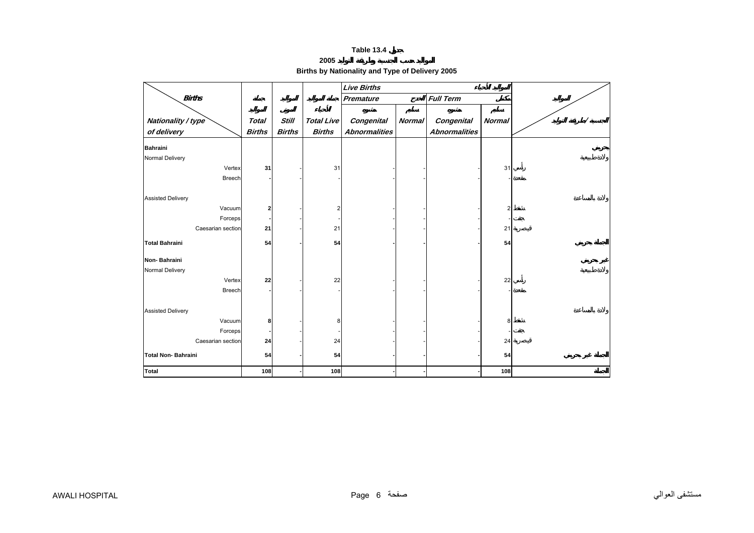**2005** 

# **Births by Nationality and Type of Delivery 2005**

<span id="page-4-0"></span>

|                           |               |               |                   | <b>Live Births</b>   |               |                      |               |  |
|---------------------------|---------------|---------------|-------------------|----------------------|---------------|----------------------|---------------|--|
| <b>Births</b>             |               |               |                   | Premature            |               | <b>Full Term</b>     |               |  |
|                           |               |               |                   |                      |               |                      |               |  |
| Nationality / type        | <b>Total</b>  | <b>Still</b>  | <b>Total Live</b> | <b>Congenital</b>    | <b>Normal</b> | <b>Congenital</b>    | <b>Normal</b> |  |
| of delivery               | <b>Births</b> | <b>Births</b> | <b>Births</b>     | <b>Abnormalities</b> |               | <b>Abnormalities</b> |               |  |
| <b>Bahraini</b>           |               |               |                   |                      |               |                      |               |  |
| Normal Delivery           |               |               |                   |                      |               |                      |               |  |
| Vertex                    | 31            |               | 31                |                      |               |                      | 31            |  |
| <b>Breech</b>             |               |               |                   |                      |               |                      |               |  |
|                           |               |               |                   |                      |               |                      |               |  |
| <b>Assisted Delivery</b>  |               |               |                   |                      |               |                      |               |  |
| Vacuum                    | 2             |               |                   |                      |               |                      |               |  |
| Forceps                   |               |               |                   |                      |               |                      |               |  |
| Caesarian section         | 21            |               | 21                |                      |               |                      | 21            |  |
| <b>Total Bahraini</b>     |               |               | 54                |                      |               |                      |               |  |
|                           | 54            |               |                   |                      |               |                      | 54            |  |
| Non-Bahraini              |               |               |                   |                      |               |                      |               |  |
| Normal Delivery           |               |               |                   |                      |               |                      |               |  |
| Vertex                    | 22            |               | 22                |                      |               |                      | 22            |  |
| <b>Breech</b>             |               |               |                   |                      |               |                      |               |  |
|                           |               |               |                   |                      |               |                      |               |  |
| <b>Assisted Delivery</b>  |               |               |                   |                      |               |                      |               |  |
| Vacuum                    | 8             |               | 8                 |                      |               |                      | 8             |  |
| Forceps                   |               |               |                   |                      |               |                      |               |  |
| Caesarian section         | 24            |               | 24                |                      |               |                      | 24            |  |
| <b>Total Non-Bahraini</b> | 54            |               | 54                |                      |               |                      | 54            |  |
|                           |               |               |                   |                      |               |                      |               |  |
| <b>Total</b>              | 108           |               | 108               |                      |               |                      | 108           |  |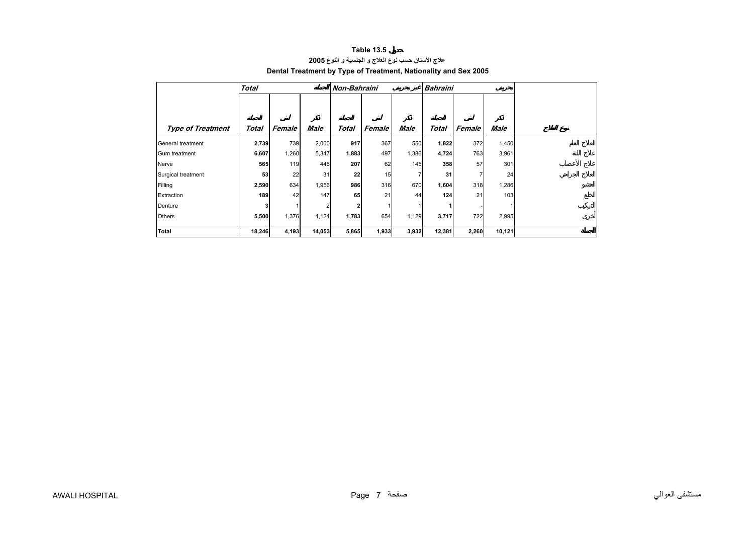<span id="page-5-0"></span>

|                          | <b>Total</b> |        |                | Non-Bahraini |        |       | <b>Bahraini</b> |        |        |  |
|--------------------------|--------------|--------|----------------|--------------|--------|-------|-----------------|--------|--------|--|
|                          |              |        |                |              |        |       |                 |        |        |  |
| <b>Type of Treatment</b> | Total        | Female | Male           | Total        | Female | Male  | Total           | Female | Male   |  |
| General treatment        | 2,739        | 739    | 2,000          | 917          | 367    | 550   | 1,822           | 372    | 1,450  |  |
| Gum treatment            | 6,607        | 1,260  | 5,347          | 1,883        | 497    | 1,386 | 4,724           | 763    | 3,961  |  |
| Nerve                    | 565          | 119    | 446            | 207          | 62     | 145   | 358             | 57     | 301    |  |
| Surgical treatment       | 53           | 22     | 31             | 22           | 15     |       | 31              | 7      | 24     |  |
| Filling                  | 2,590        | 634    | 1,956          | 986          | 316    | 670   | 1,604           | 318    | 1,286  |  |
| Extraction               | 189          | 42     | 147            | 65           | 21     | 44    | 124             | 21     | 103    |  |
| Denture                  |              |        | $\overline{2}$ |              |        |       |                 |        |        |  |
| <b>Others</b>            | 5,500        | 1,376  | 4,124          | 1,783        | 654    | 1,129 | 3,717           | 722    | 2,995  |  |
| Total                    | 18,246       | 4,193  | 14,053         | 5,865        | 1,933  | 3,932 | 12,381          | 2,260  | 10,121 |  |

## **Table 13.5 علاج الأسنان حسب نوع العلاج <sup>و</sup> الجنسية <sup>و</sup> النوع<sup>2005</sup> Dental Treatment by Type of Treatment, Nationality and Sex 2005**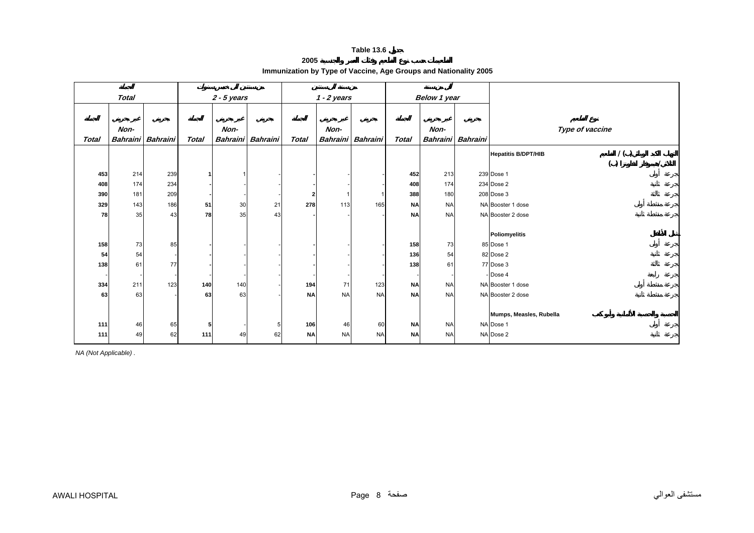| 2005                                                             |  |
|------------------------------------------------------------------|--|
| Immunization by Type of Vaccine, Age Groups and Nationality 2005 |  |

<span id="page-6-0"></span>

|       | <b>Total</b> |                          |                | $2 - 5$ years |                   |              | $1 - 2$ years |                   |           | Below 1 year             |                                   |
|-------|--------------|--------------------------|----------------|---------------|-------------------|--------------|---------------|-------------------|-----------|--------------------------|-----------------------------------|
|       |              |                          |                |               |                   |              |               |                   |           |                          |                                   |
|       |              |                          |                |               |                   |              |               |                   |           |                          |                                   |
|       | Non-         |                          |                | Non-          |                   |              | Non-          |                   |           | Non-                     | Type of vaccine                   |
| Total |              | Bahraini Bahraini        | Total          |               | Bahraini Bahraini | <b>Total</b> |               | Bahraini Bahraini | Total     | <b>Bahraini</b> Bahraini |                                   |
|       |              |                          |                |               |                   |              |               |                   |           |                          | 1()<br><b>Hepatitis B/DPT/HIB</b> |
|       |              |                          |                |               |                   |              |               |                   |           |                          | ( )                               |
| 453   | 214          | 239                      |                |               |                   |              |               |                   | 452       | 213                      | 239 Dose 1                        |
| 408   | 174          | 234                      |                |               |                   |              |               |                   | 408       | 174                      | 234 Dose 2                        |
| 390   | 181          | 209                      |                |               |                   |              |               |                   | 388       | 180                      | 208 Dose 3                        |
| 329   | 143          | 186                      | 51             | 30            | 21                | 278          | 113           | 165               | <b>NA</b> | <b>NA</b>                | NA Booster 1 dose                 |
| 78    | 35           | 43                       | 78             | 35            | 43                |              |               |                   | <b>NA</b> | <b>NA</b>                | NA Booster 2 dose                 |
|       |              |                          |                |               |                   |              |               |                   |           |                          |                                   |
|       |              |                          |                |               |                   |              |               |                   |           |                          | <b>Poliomyelitis</b>              |
| 158   | 73           | 85                       |                |               |                   |              |               |                   | 158       | 73                       | 85 Dose 1                         |
| 54    | 54           |                          |                |               |                   |              |               |                   | 136       | 54                       | 82 Dose 2                         |
| 138   | 61           | 77                       |                |               |                   |              |               |                   | 138       | 61                       | 77 Dose 3                         |
|       |              |                          |                |               |                   |              |               |                   |           |                          | - Dose 4                          |
| 334   | 211          | 123                      | 140            | 140           |                   | 194          | 71            | 123               | <b>NA</b> | <b>NA</b>                | NA Booster 1 dose                 |
| 63    | 63           | $\overline{\phantom{a}}$ | 63             | 63            |                   | <b>NA</b>    | <b>NA</b>     | <b>NA</b>         | <b>NA</b> | <b>NA</b>                | NA Booster 2 dose                 |
|       |              |                          |                |               |                   |              |               |                   |           |                          |                                   |
|       |              |                          |                |               |                   |              |               |                   |           |                          | Mumps, Measles, Rubella           |
| 111   | 46           | 65                       | 5 <sub>5</sub> |               |                   | 106          | 46            | 60                | <b>NA</b> | <b>NA</b>                | NA Dose 1                         |
| 111   | 49           | 62                       | $111$          | 49            | 62                | <b>NA</b>    | <b>NA</b>     | <b>NA</b>         | <b>NA</b> | <b>NA</b>                | NA Dose 2                         |

*NA (Not Applicable) .*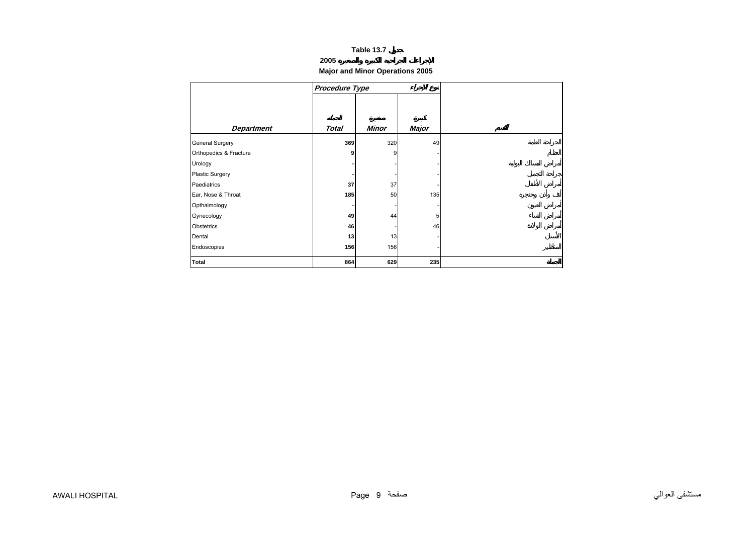#### **2005**

# **Major and Minor Operations 2005**

<span id="page-7-0"></span>

|                        | <b>Procedure Type</b> |       |       |
|------------------------|-----------------------|-------|-------|
|                        |                       |       |       |
|                        |                       |       |       |
| <b>Department</b>      | <b>Total</b>          | Minor | Major |
| <b>General Surgery</b> | 369                   | 320   | 49    |
| Orthopedics & Fracture | 9                     | 9     |       |
| Urology                |                       |       |       |
| <b>Plastic Surgery</b> |                       |       |       |
| Paediatrics            | 37                    | 37    |       |
| Ear, Nose & Throat     | 185                   | 50    | 135   |
| Opthalmology           |                       |       |       |
| Gynecology             | 49                    | 44    | 5     |
| Obstetrics             | 46                    |       | 46    |
| Dental                 | 13                    | 13    |       |
| Endoscopies            | 156                   | 156   |       |
| <b>Total</b>           | 864                   | 629   | 235   |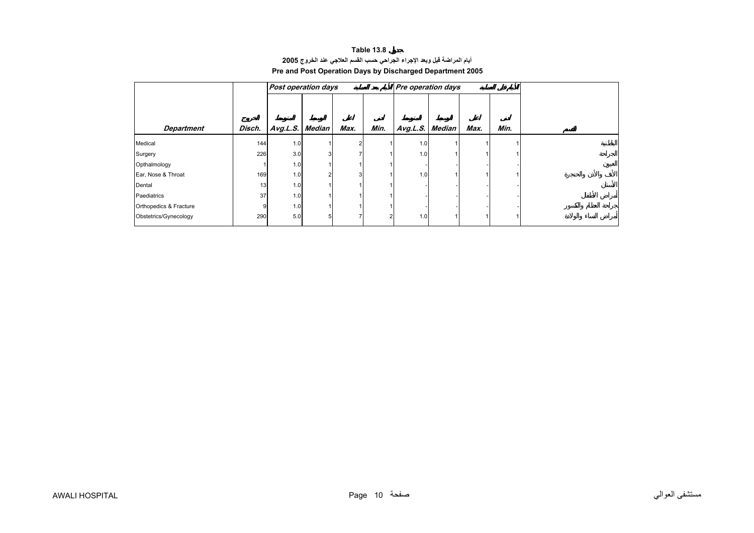# **Table 13.8 أيام المراضة قبل وبعد الإجراء الجراحي حسب القسم العلاجي عند الخروج<sup>2005</sup> Pre and Post Operation Days by Discharged Department 2005**

<span id="page-8-0"></span>

|                        |        | Post operation days |   |      |      | Pre operation days |      |      |
|------------------------|--------|---------------------|---|------|------|--------------------|------|------|
|                        |        |                     |   |      |      |                    |      |      |
|                        |        |                     |   |      |      |                    |      |      |
| <b>Department</b>      | Disch. | Avg.L.S. Median     |   | Max. | Min. | Avg.L.S. Median    | Max. | Min. |
| Medical                | 144    | 1.0                 |   |      |      | 1.0                |      |      |
| Surgery                | 226    | 3.0                 | 3 |      |      | 1.0                |      |      |
| Opthalmology           |        | 1.0                 |   |      |      |                    |      |      |
| Ear, Nose & Throat     | 169    | 1.0                 | ົ |      |      | 1.0                |      |      |
| Dental                 | 13     | 1.0                 |   |      |      |                    |      |      |
| Paediatrics            | 37     | 1.0                 |   |      |      |                    |      |      |
| Orthopedics & Fracture | 9      | 1.0                 |   |      |      |                    |      |      |
| Obstetrics/Gynecology  | 290    | 5.0                 | 5 |      | 2    | 1.0                |      |      |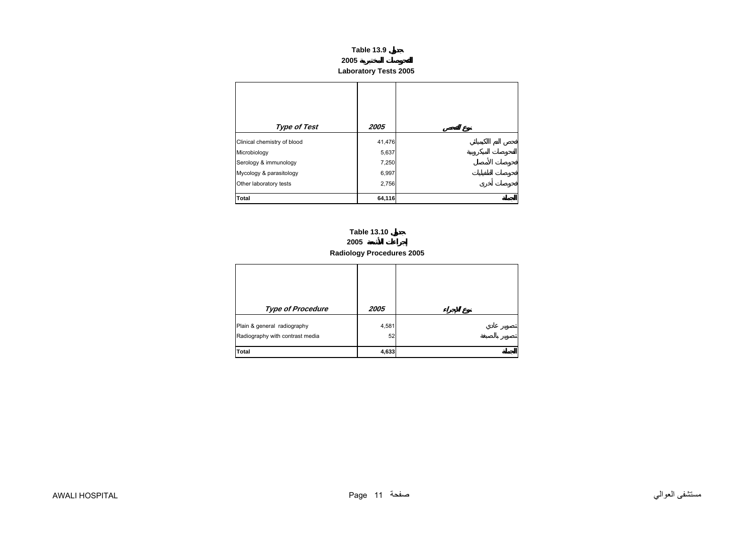**Laboratory Tests 2005** 

<span id="page-9-0"></span>

| <b>Type of Test</b>         | 2005   |
|-----------------------------|--------|
| Clinical chemistry of blood | 41,476 |
| Microbiology                | 5,637  |
| Serology & immunology       | 7,250  |
| Mycology & parasitology     | 6,997  |
| Other laboratory tests      | 2,756  |
| <b>Total</b>                | 64,116 |

# **2005 Radiology Procedures 2005 Table 13.10**

| <b>Type of Procedure</b>                                       | 2005        |  |
|----------------------------------------------------------------|-------------|--|
| Plain & general radiography<br>Radiography with contrast media | 4,581<br>52 |  |
| Total                                                          | 4,633       |  |